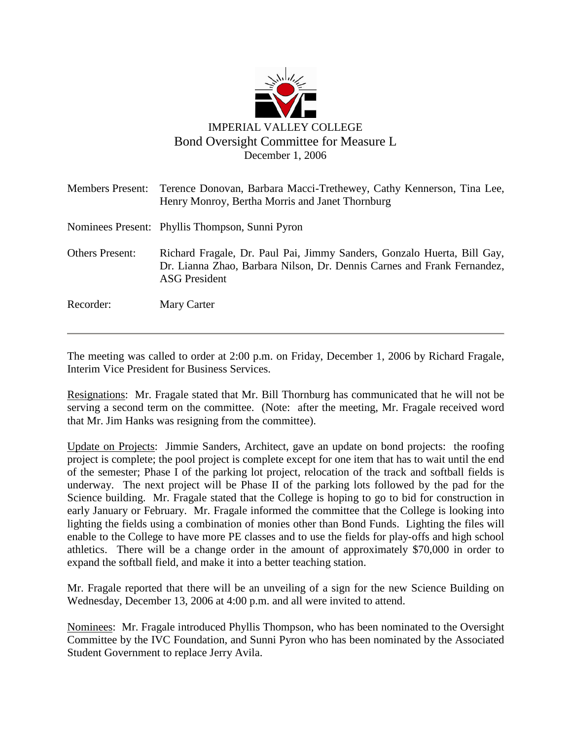

|                        | Members Present: Terence Donovan, Barbara Macci-Trethewey, Cathy Kennerson, Tina Lee,<br>Henry Monroy, Bertha Morris and Janet Thornburg                                   |
|------------------------|----------------------------------------------------------------------------------------------------------------------------------------------------------------------------|
|                        | Nominees Present: Phyllis Thompson, Sunni Pyron                                                                                                                            |
| <b>Others Present:</b> | Richard Fragale, Dr. Paul Pai, Jimmy Sanders, Gonzalo Huerta, Bill Gay,<br>Dr. Lianna Zhao, Barbara Nilson, Dr. Dennis Carnes and Frank Fernandez,<br><b>ASG President</b> |
| Recorder:              | Mary Carter                                                                                                                                                                |

The meeting was called to order at 2:00 p.m. on Friday, December 1, 2006 by Richard Fragale, Interim Vice President for Business Services.

Resignations: Mr. Fragale stated that Mr. Bill Thornburg has communicated that he will not be serving a second term on the committee. (Note: after the meeting, Mr. Fragale received word that Mr. Jim Hanks was resigning from the committee).

Update on Projects: Jimmie Sanders, Architect, gave an update on bond projects: the roofing project is complete; the pool project is complete except for one item that has to wait until the end of the semester; Phase I of the parking lot project, relocation of the track and softball fields is underway. The next project will be Phase II of the parking lots followed by the pad for the Science building. Mr. Fragale stated that the College is hoping to go to bid for construction in early January or February. Mr. Fragale informed the committee that the College is looking into lighting the fields using a combination of monies other than Bond Funds. Lighting the files will enable to the College to have more PE classes and to use the fields for play-offs and high school athletics. There will be a change order in the amount of approximately \$70,000 in order to expand the softball field, and make it into a better teaching station.

Mr. Fragale reported that there will be an unveiling of a sign for the new Science Building on Wednesday, December 13, 2006 at 4:00 p.m. and all were invited to attend.

Nominees: Mr. Fragale introduced Phyllis Thompson, who has been nominated to the Oversight Committee by the IVC Foundation, and Sunni Pyron who has been nominated by the Associated Student Government to replace Jerry Avila.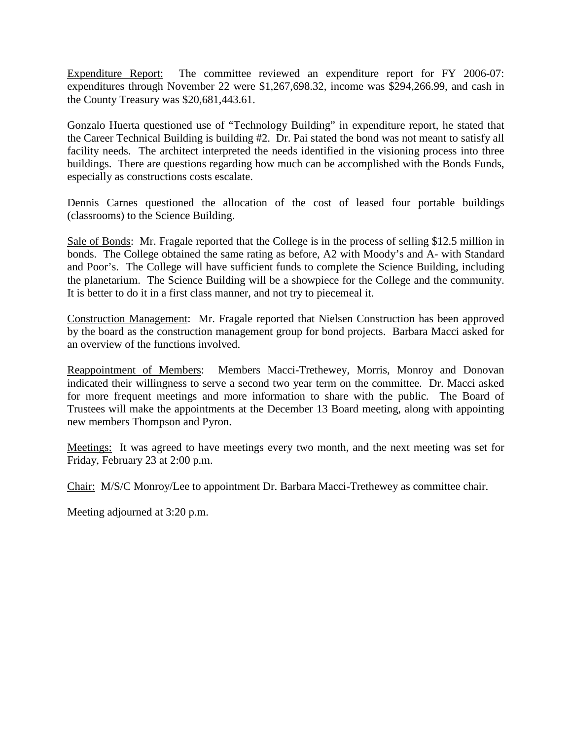Expenditure Report: The committee reviewed an expenditure report for FY 2006-07: expenditures through November 22 were \$1,267,698.32, income was \$294,266.99, and cash in the County Treasury was \$20,681,443.61.

Gonzalo Huerta questioned use of "Technology Building" in expenditure report, he stated that the Career Technical Building is building #2. Dr. Pai stated the bond was not meant to satisfy all facility needs. The architect interpreted the needs identified in the visioning process into three buildings. There are questions regarding how much can be accomplished with the Bonds Funds, especially as constructions costs escalate.

Dennis Carnes questioned the allocation of the cost of leased four portable buildings (classrooms) to the Science Building.

Sale of Bonds: Mr. Fragale reported that the College is in the process of selling \$12.5 million in bonds. The College obtained the same rating as before, A2 with Moody's and A- with Standard and Poor's. The College will have sufficient funds to complete the Science Building, including the planetarium. The Science Building will be a showpiece for the College and the community. It is better to do it in a first class manner, and not try to piecemeal it.

Construction Management: Mr. Fragale reported that Nielsen Construction has been approved by the board as the construction management group for bond projects. Barbara Macci asked for an overview of the functions involved.

Reappointment of Members: Members Macci-Trethewey, Morris, Monroy and Donovan indicated their willingness to serve a second two year term on the committee. Dr. Macci asked for more frequent meetings and more information to share with the public. The Board of Trustees will make the appointments at the December 13 Board meeting, along with appointing new members Thompson and Pyron.

Meetings: It was agreed to have meetings every two month, and the next meeting was set for Friday, February 23 at 2:00 p.m.

Chair: M/S/C Monroy/Lee to appointment Dr. Barbara Macci-Trethewey as committee chair.

Meeting adjourned at 3:20 p.m.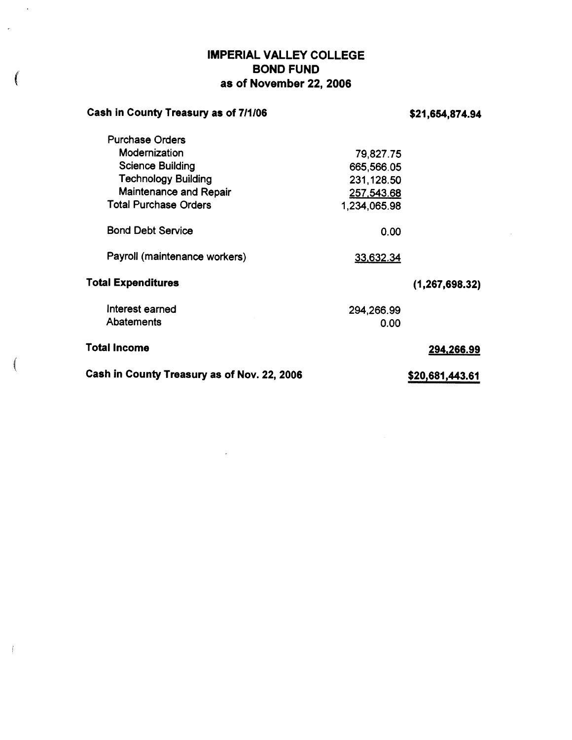### **IMPERIAL VALLEY COLLEGE BOND FUND** as of November 22, 2006

 $\mathbf{v}$ 

 $\int\limits_{-\infty}^{\infty}$ 

| Cash in County Treasury as of 7/1/06        |              | \$21,654,874.94  |
|---------------------------------------------|--------------|------------------|
| <b>Purchase Orders</b>                      |              |                  |
| Modernization                               | 79,827.75    |                  |
| <b>Science Building</b>                     | 665,566.05   |                  |
| <b>Technology Building</b>                  | 231,128.50   |                  |
| Maintenance and Repair                      | 257,543.68   |                  |
| <b>Total Purchase Orders</b>                | 1,234,065.98 |                  |
| <b>Bond Debt Service</b>                    | 0.00         |                  |
| Payroll (maintenance workers)               | 33,632.34    |                  |
| <b>Total Expenditures</b>                   |              | (1, 267, 698.32) |
| Interest earned                             | 294,266.99   |                  |
| <b>Abatements</b>                           | 0.00         |                  |
| <b>Total Income</b>                         |              | 294,266.99       |
| Cash in County Treasury as of Nov. 22, 2006 |              | \$20,681,443.61  |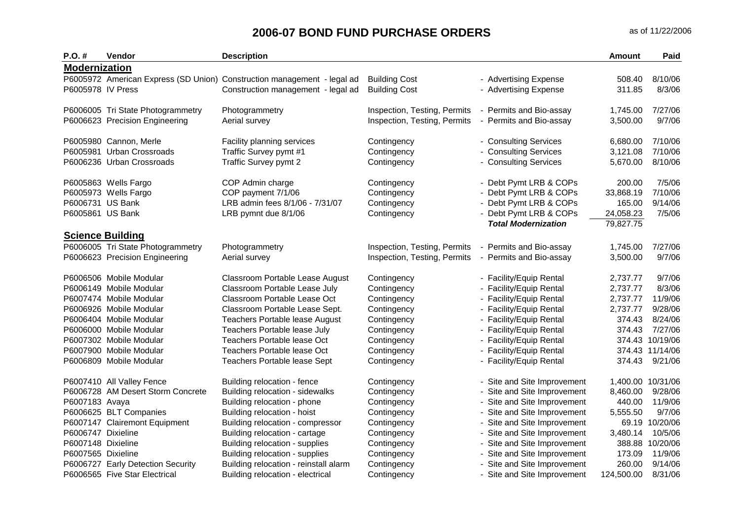| $P.O.$ #             | <b>Vendor</b>                     | <b>Description</b>                                                      |                              |                             | <b>Amount</b>     | Paid            |
|----------------------|-----------------------------------|-------------------------------------------------------------------------|------------------------------|-----------------------------|-------------------|-----------------|
| <b>Modernization</b> |                                   |                                                                         |                              |                             |                   |                 |
|                      |                                   | P6005972 American Express (SD Union) Construction management - legal ad | <b>Building Cost</b>         | - Advertising Expense       | 508.40            | 8/10/06         |
| P6005978 IV Press    |                                   | Construction management - legal ad                                      | <b>Building Cost</b>         | - Advertising Expense       | 311.85            | 8/3/06          |
|                      | P6006005 Tri State Photogrammetry | Photogrammetry                                                          | Inspection, Testing, Permits | - Permits and Bio-assay     | 1,745.00          | 7/27/06         |
|                      | P6006623 Precision Engineering    | Aerial survey                                                           | Inspection, Testing, Permits | - Permits and Bio-assay     | 3,500.00          | 9/7/06          |
|                      |                                   |                                                                         |                              |                             |                   |                 |
|                      | P6005980 Cannon, Merle            | Facility planning services                                              | Contingency                  | - Consulting Services       | 6,680.00          | 7/10/06         |
|                      | P6005981 Urban Crossroads         | Traffic Survey pymt #1                                                  | Contingency                  | - Consulting Services       | 3,121.08          | 7/10/06         |
|                      | P6006236 Urban Crossroads         | Traffic Survey pymt 2                                                   | Contingency                  | - Consulting Services       | 5,670.00          | 8/10/06         |
|                      | P6005863 Wells Fargo              | COP Admin charge                                                        | Contingency                  | - Debt Pymt LRB & COPs      | 200.00            | 7/5/06          |
|                      | P6005973 Wells Fargo              | COP payment 7/1/06                                                      | Contingency                  | Debt Pymt LRB & COPs        | 33,868.19         | 7/10/06         |
| P6006731 US Bank     |                                   | LRB admin fees 8/1/06 - 7/31/07                                         | Contingency                  | - Debt Pymt LRB & COPs      | 165.00            | 9/14/06         |
| P6005861 US Bank     |                                   | LRB pymnt due 8/1/06                                                    | Contingency                  | - Debt Pymt LRB & COPs      | 24,058.23         | 7/5/06          |
|                      |                                   |                                                                         |                              | <b>Total Modernization</b>  | 79,827.75         |                 |
|                      | <b>Science Building</b>           |                                                                         |                              |                             |                   |                 |
|                      | P6006005 Tri State Photogrammetry | Photogrammetry                                                          | Inspection, Testing, Permits | - Permits and Bio-assay     | 1,745.00          | 7/27/06         |
|                      | P6006623 Precision Engineering    | Aerial survey                                                           | Inspection, Testing, Permits | - Permits and Bio-assay     | 3,500.00          | 9/7/06          |
|                      | P6006506 Mobile Modular           | Classroom Portable Lease August                                         | Contingency                  | - Facility/Equip Rental     | 2,737.77          | 9/7/06          |
|                      | P6006149 Mobile Modular           | Classroom Portable Lease July                                           | Contingency                  | - Facility/Equip Rental     | 2,737.77          | 8/3/06          |
|                      | P6007474 Mobile Modular           | Classroom Portable Lease Oct                                            | Contingency                  | - Facility/Equip Rental     | 2,737.77          | 11/9/06         |
|                      | P6006926 Mobile Modular           | Classroom Portable Lease Sept.                                          | Contingency                  | - Facility/Equip Rental     | 2,737.77          | 9/28/06         |
|                      | P6006404 Mobile Modular           | Teachers Portable lease August                                          | Contingency                  | - Facility/Equip Rental     | 374.43            | 8/24/06         |
|                      | P6006000 Mobile Modular           | Teachers Portable lease July                                            | Contingency                  | - Facility/Equip Rental     | 374.43            | 7/27/06         |
|                      | P6007302 Mobile Modular           | Teachers Portable lease Oct                                             | Contingency                  | - Facility/Equip Rental     |                   | 374.43 10/19/06 |
|                      | P6007900 Mobile Modular           | <b>Teachers Portable lease Oct</b>                                      | Contingency                  | - Facility/Equip Rental     |                   | 374.43 11/14/06 |
|                      | P6006809 Mobile Modular           | Teachers Portable lease Sept                                            | Contingency                  | - Facility/Equip Rental     | 374.43            | 9/21/06         |
|                      | P6007410 All Valley Fence         | Building relocation - fence                                             | Contingency                  | - Site and Site Improvement | 1,400.00 10/31/06 |                 |
|                      | P6006728 AM Desert Storm Concrete | Building relocation - sidewalks                                         | Contingency                  | Site and Site Improvement   | 8,460.00          | 9/28/06         |
| P6007183 Avaya       |                                   | Building relocation - phone                                             | Contingency                  | - Site and Site Improvement | 440.00            | 11/9/06         |
|                      | P6006625 BLT Companies            | Building relocation - hoist                                             | Contingency                  | - Site and Site Improvement | 5,555.50          | 9/7/06          |
|                      | P6007147 Clairemont Equipment     | Building relocation - compressor                                        | Contingency                  | - Site and Site Improvement | 69.19             | 10/20/06        |
| P6006747 Dixieline   |                                   | Building relocation - cartage                                           | Contingency                  | Site and Site Improvement   | 3,480.14          | 10/5/06         |
| P6007148 Dixieline   |                                   | Building relocation - supplies                                          | Contingency                  | - Site and Site Improvement | 388.88            | 10/20/06        |
| P6007565 Dixieline   |                                   | Building relocation - supplies                                          | Contingency                  | Site and Site Improvement   | 173.09            | 11/9/06         |
|                      | P6006727 Early Detection Security | Building relocation - reinstall alarm                                   | Contingency                  | Site and Site Improvement   | 260.00            | 9/14/06         |
|                      | P6006565 Five Star Electrical     | Building relocation - electrical                                        | Contingency                  | - Site and Site Improvement | 124,500.00        | 8/31/06         |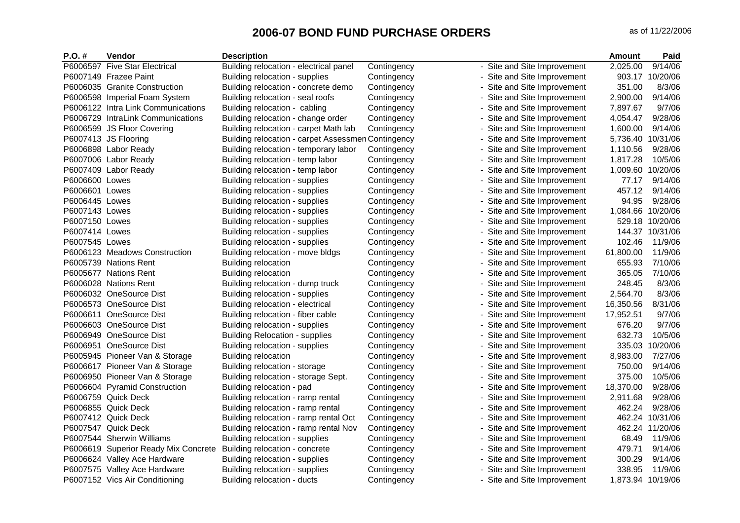| $P.O. \#$      | Vendor                               | <b>Description</b>                                 |             |                             | Amount            | Paid            |
|----------------|--------------------------------------|----------------------------------------------------|-------------|-----------------------------|-------------------|-----------------|
|                | P6006597 Five Star Electrical        | Building relocation - electrical panel             | Contingency | - Site and Site Improvement | 2,025.00          | 9/14/06         |
|                | P6007149 Frazee Paint                | Building relocation - supplies                     | Contingency | - Site and Site Improvement | 903.17            | 10/20/06        |
|                | P6006035 Granite Construction        | Building relocation - concrete demo                | Contingency | Site and Site Improvement   | 351.00            | 8/3/06          |
|                | P6006598 Imperial Foam System        | Building relocation - seal roofs                   | Contingency | Site and Site Improvement   | 2,900.00          | 9/14/06         |
|                | P6006122 Intra Link Communications   | Building relocation - cabling                      | Contingency | Site and Site Improvement   | 7,897.67          | 9/7/06          |
|                | P6006729 IntraLink Communications    | Building relocation - change order                 | Contingency | - Site and Site Improvement | 4,054.47          | 9/28/06         |
|                | P6006599 JS Floor Covering           | Building relocation - carpet Math lab              | Contingency | - Site and Site Improvement | 1,600.00          | 9/14/06         |
|                | P6007413 JS Flooring                 | Building relocation - carpet Assessmen Contingency |             | Site and Site Improvement   | 5,736.40 10/31/06 |                 |
|                | P6006898 Labor Ready                 | Building relocation - temporary labor              | Contingency | Site and Site Improvement   | 1,110.56          | 9/28/06         |
|                | P6007006 Labor Ready                 | Building relocation - temp labor                   | Contingency | Site and Site Improvement   | 1,817.28          | 10/5/06         |
|                | P6007409 Labor Ready                 | Building relocation - temp labor                   | Contingency | - Site and Site Improvement | 1,009.60 10/20/06 |                 |
| P6006600 Lowes |                                      | Building relocation - supplies                     | Contingency | Site and Site Improvement   | 77.17             | 9/14/06         |
| P6006601 Lowes |                                      | Building relocation - supplies                     | Contingency | Site and Site Improvement   | 457.12            | 9/14/06         |
| P6006445 Lowes |                                      | Building relocation - supplies                     | Contingency | Site and Site Improvement   | 94.95             | 9/28/06         |
| P6007143 Lowes |                                      | Building relocation - supplies                     | Contingency | Site and Site Improvement   | 1,084.66 10/20/06 |                 |
| P6007150 Lowes |                                      | Building relocation - supplies                     | Contingency | - Site and Site Improvement |                   | 529.18 10/20/06 |
| P6007414 Lowes |                                      | Building relocation - supplies                     | Contingency | Site and Site Improvement   |                   | 144.37 10/31/06 |
| P6007545 Lowes |                                      | Building relocation - supplies                     | Contingency | Site and Site Improvement   | 102.46            | 11/9/06         |
|                | P6006123 Meadows Construction        | Building relocation - move bldgs                   | Contingency | Site and Site Improvement   | 61,800.00         | 11/9/06         |
|                | P6005739 Nations Rent                | Building relocation                                | Contingency | - Site and Site Improvement | 655.93            | 7/10/06         |
|                | P6005677 Nations Rent                | <b>Building relocation</b>                         | Contingency | Site and Site Improvement   | 365.05            | 7/10/06         |
|                | P6006028 Nations Rent                | Building relocation - dump truck                   | Contingency | Site and Site Improvement   | 248.45            | 8/3/06          |
|                | P6006032 OneSource Dist              | Building relocation - supplies                     | Contingency | Site and Site Improvement   | 2,564.70          | 8/3/06          |
|                | P6006573 OneSource Dist              | Building relocation - electrical                   | Contingency | Site and Site Improvement   | 16,350.56         | 8/31/06         |
|                | P6006611 OneSource Dist              | Building relocation - fiber cable                  | Contingency | - Site and Site Improvement | 17,952.51         | 9/7/06          |
|                | P6006603 OneSource Dist              | Building relocation - supplies                     | Contingency | Site and Site Improvement   | 676.20            | 9/7/06          |
|                | P6006949 OneSource Dist              | <b>Building Relocation - supplies</b>              | Contingency | Site and Site Improvement   | 632.73            | 10/5/06         |
|                | P6006951 OneSource Dist              | Building relocation - supplies                     | Contingency | Site and Site Improvement   |                   | 335.03 10/20/06 |
|                | P6005945 Pioneer Van & Storage       | <b>Building relocation</b>                         | Contingency | - Site and Site Improvement | 8,983.00          | 7/27/06         |
|                | P6006617 Pioneer Van & Storage       | Building relocation - storage                      | Contingency | - Site and Site Improvement | 750.00            | 9/14/06         |
|                | P6006950 Pioneer Van & Storage       | Building relocation - storage Sept.                | Contingency | Site and Site Improvement   | 375.00            | 10/5/06         |
|                | P6006604 Pyramid Construction        | Building relocation - pad                          | Contingency | Site and Site Improvement   | 18,370.00         | 9/28/06         |
|                | P6006759 Quick Deck                  | Building relocation - ramp rental                  | Contingency | Site and Site Improvement   | 2,911.68          | 9/28/06         |
|                | P6006855 Quick Deck                  | Building relocation - ramp rental                  | Contingency | - Site and Site Improvement | 462.24            | 9/28/06         |
|                | P6007412 Quick Deck                  | Building relocation - ramp rental Oct              | Contingency | Site and Site Improvement   |                   | 462.24 10/31/06 |
|                | P6007547 Quick Deck                  | Building relocation - ramp rental Nov              | Contingency | Site and Site Improvement   |                   | 462.24 11/20/06 |
|                | P6007544 Sherwin Williams            | Building relocation - supplies                     | Contingency | Site and Site Improvement   | 68.49             | 11/9/06         |
|                | P6006619 Superior Ready Mix Concrete | Building relocation - concrete                     | Contingency | - Site and Site Improvement | 479.71            | 9/14/06         |
|                | P6006624 Valley Ace Hardware         | Building relocation - supplies                     | Contingency | Site and Site Improvement   | 300.29            | 9/14/06         |
|                | P6007575 Valley Ace Hardware         | Building relocation - supplies                     | Contingency | Site and Site Improvement   | 338.95            | 11/9/06         |
|                | P6007152 Vics Air Conditioning       | Building relocation - ducts                        | Contingency | - Site and Site Improvement | 1,873.94 10/19/06 |                 |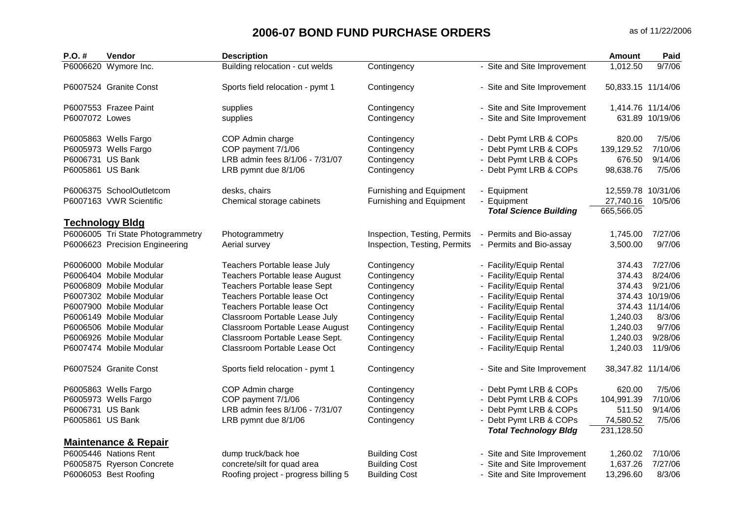| P.O. #                 | <b>Vendor</b>                     | <b>Description</b>                   |                              |                               | <b>Amount</b>      | Paid              |
|------------------------|-----------------------------------|--------------------------------------|------------------------------|-------------------------------|--------------------|-------------------|
| P6006620 Wymore Inc.   |                                   | Building relocation - cut welds      | Contingency                  | - Site and Site Improvement   | 1,012.50           | 9/7/06            |
|                        | P6007524 Granite Const            | Sports field relocation - pymt 1     | Contingency                  | - Site and Site Improvement   | 50,833.15 11/14/06 |                   |
| P6007553 Frazee Paint  |                                   | supplies                             | Contingency                  | - Site and Site Improvement   |                    | 1,414.76 11/14/06 |
| P6007072 Lowes         |                                   | supplies                             | Contingency                  | - Site and Site Improvement   |                    | 631.89 10/19/06   |
| P6005863 Wells Fargo   |                                   | COP Admin charge                     | Contingency                  | - Debt Pymt LRB & COPs        | 820.00             | 7/5/06            |
| P6005973 Wells Fargo   |                                   | COP payment 7/1/06                   | Contingency                  | Debt Pymt LRB & COPs          | 139,129.52         | 7/10/06           |
| P6006731 US Bank       |                                   | LRB admin fees 8/1/06 - 7/31/07      | Contingency                  | - Debt Pymt LRB & COPs        | 676.50             | 9/14/06           |
| P6005861 US Bank       |                                   | LRB pymnt due 8/1/06                 | Contingency                  | Debt Pymt LRB & COPs          | 98,638.76          | 7/5/06            |
|                        | P6006375 SchoolOutletcom          | desks, chairs                        | Furnishing and Equipment     | - Equipment                   | 12,559.78          | 10/31/06          |
|                        | P6007163 VWR Scientific           | Chemical storage cabinets            | Furnishing and Equipment     | - Equipment                   | 27,740.16          | 10/5/06           |
|                        |                                   |                                      |                              | <b>Total Science Building</b> | 665,566.05         |                   |
| <b>Technology Bldg</b> | P6006005 Tri State Photogrammetry | Photogrammetry                       | Inspection, Testing, Permits | - Permits and Bio-assay       | 1,745.00           | 7/27/06           |
|                        | P6006623 Precision Engineering    | Aerial survey                        | Inspection, Testing, Permits | - Permits and Bio-assay       | 3,500.00           | 9/7/06            |
|                        |                                   |                                      |                              |                               |                    |                   |
|                        | P6006000 Mobile Modular           | Teachers Portable lease July         | Contingency                  | - Facility/Equip Rental       | 374.43             | 7/27/06           |
|                        | P6006404 Mobile Modular           | Teachers Portable lease August       | Contingency                  | - Facility/Equip Rental       | 374.43             | 8/24/06           |
|                        | P6006809 Mobile Modular           | Teachers Portable lease Sept         | Contingency                  | - Facility/Equip Rental       | 374.43             | 9/21/06           |
|                        | P6007302 Mobile Modular           | Teachers Portable lease Oct          | Contingency                  | - Facility/Equip Rental       |                    | 374.43 10/19/06   |
|                        | P6007900 Mobile Modular           | Teachers Portable lease Oct          | Contingency                  | - Facility/Equip Rental       |                    | 374.43 11/14/06   |
|                        | P6006149 Mobile Modular           | Classroom Portable Lease July        | Contingency                  | - Facility/Equip Rental       | 1,240.03           | 8/3/06            |
|                        | P6006506 Mobile Modular           | Classroom Portable Lease August      | Contingency                  | - Facility/Equip Rental       | 1,240.03           | 9/7/06            |
|                        | P6006926 Mobile Modular           | Classroom Portable Lease Sept.       | Contingency                  | - Facility/Equip Rental       | 1,240.03           | 9/28/06           |
|                        | P6007474 Mobile Modular           | Classroom Portable Lease Oct         | Contingency                  | - Facility/Equip Rental       | 1,240.03           | 11/9/06           |
|                        | P6007524 Granite Const            | Sports field relocation - pymt 1     | Contingency                  | - Site and Site Improvement   | 38,347.82 11/14/06 |                   |
| P6005863 Wells Fargo   |                                   | COP Admin charge                     | Contingency                  | - Debt Pymt LRB & COPs        | 620.00             | 7/5/06            |
| P6005973 Wells Fargo   |                                   | COP payment 7/1/06                   | Contingency                  | - Debt Pymt LRB & COPs        | 104,991.39         | 7/10/06           |
| P6006731 US Bank       |                                   | LRB admin fees 8/1/06 - 7/31/07      | Contingency                  | Debt Pymt LRB & COPs          | 511.50             | 9/14/06           |
| P6005861 US Bank       |                                   | LRB pymnt due 8/1/06                 | Contingency                  | Debt Pymt LRB & COPs          | 74,580.52          | 7/5/06            |
|                        |                                   |                                      |                              | <b>Total Technology Bldg</b>  | 231,128.50         |                   |
|                        | <b>Maintenance &amp; Repair</b>   |                                      |                              |                               |                    |                   |
| P6005446 Nations Rent  |                                   | dump truck/back hoe                  | <b>Building Cost</b>         | - Site and Site Improvement   | 1,260.02           | 7/10/06           |
|                        | P6005875 Ryerson Concrete         | concrete/silt for quad area          | <b>Building Cost</b>         | - Site and Site Improvement   | 1,637.26           | 7/27/06           |
| P6006053 Best Roofing  |                                   | Roofing project - progress billing 5 | <b>Building Cost</b>         | - Site and Site Improvement   | 13,296.60          | 8/3/06            |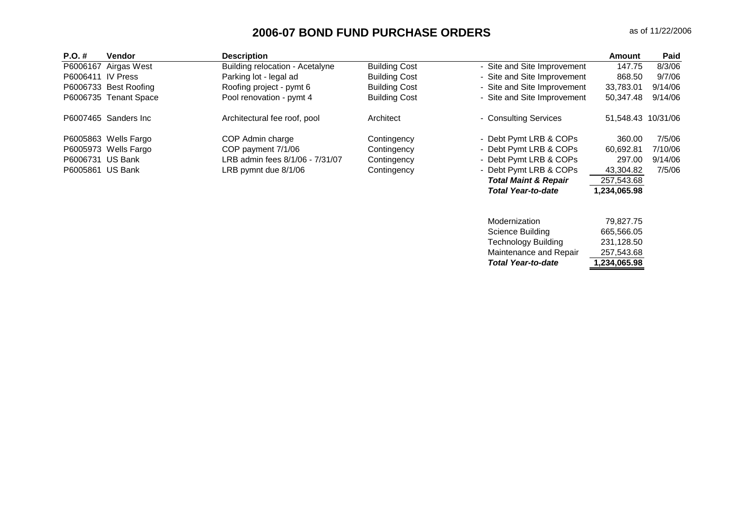| $P.O. \#$         | <b>Vendor</b>         | <b>Description</b>              |                      |                                 | Amount             | <b>Paid</b> |
|-------------------|-----------------------|---------------------------------|----------------------|---------------------------------|--------------------|-------------|
| P6006167          | Airgas West           | Building relocation - Acetalyne | <b>Building Cost</b> | - Site and Site Improvement     | 147.75             | 8/3/06      |
| P6006411 IV Press |                       | Parking lot - legal ad          | <b>Building Cost</b> | - Site and Site Improvement     | 868.50             | 9/7/06      |
|                   | P6006733 Best Roofing | Roofing project - pymt 6        | <b>Building Cost</b> | - Site and Site Improvement     | 33.783.01          | 9/14/06     |
|                   | P6006735 Tenant Space | Pool renovation - pymt 4        | <b>Building Cost</b> | - Site and Site Improvement     | 50.347.48          | 9/14/06     |
|                   | P6007465 Sanders Inc  | Architectural fee roof, pool    | Architect            | - Consulting Services           | 51.548.43 10/31/06 |             |
|                   | P6005863 Wells Fargo  | COP Admin charge                | Contingency          | - Debt Pymt LRB & COPs          | 360.00             | 7/5/06      |
|                   | P6005973 Wells Fargo  | COP payment 7/1/06              | Contingency          | - Debt Pymt LRB & COPs          | 60.692.81          | 7/10/06     |
|                   | P6006731 US Bank      | LRB admin fees 8/1/06 - 7/31/07 | Contingency          | - Debt Pymt LRB & COPs          | 297.00             | 9/14/06     |
| P6005861 US Bank  |                       | LRB pymnt due 8/1/06            | Contingency          | - Debt Pymt LRB & COPs          | 43,304.82          | 7/5/06      |
|                   |                       |                                 |                      | <b>Total Maint &amp; Repair</b> | 257,543.68         |             |
|                   |                       |                                 |                      | <b>Total Year-to-date</b>       | 1,234,065.98       |             |

| <b>Total Year-to-date</b> | 1,234,065.98 |
|---------------------------|--------------|
| Maintenance and Repair    | 257.543.68   |
| Technology Building       | 231.128.50   |
| Science Building          | 665,566.05   |
| Modernization             | 79.827.75    |